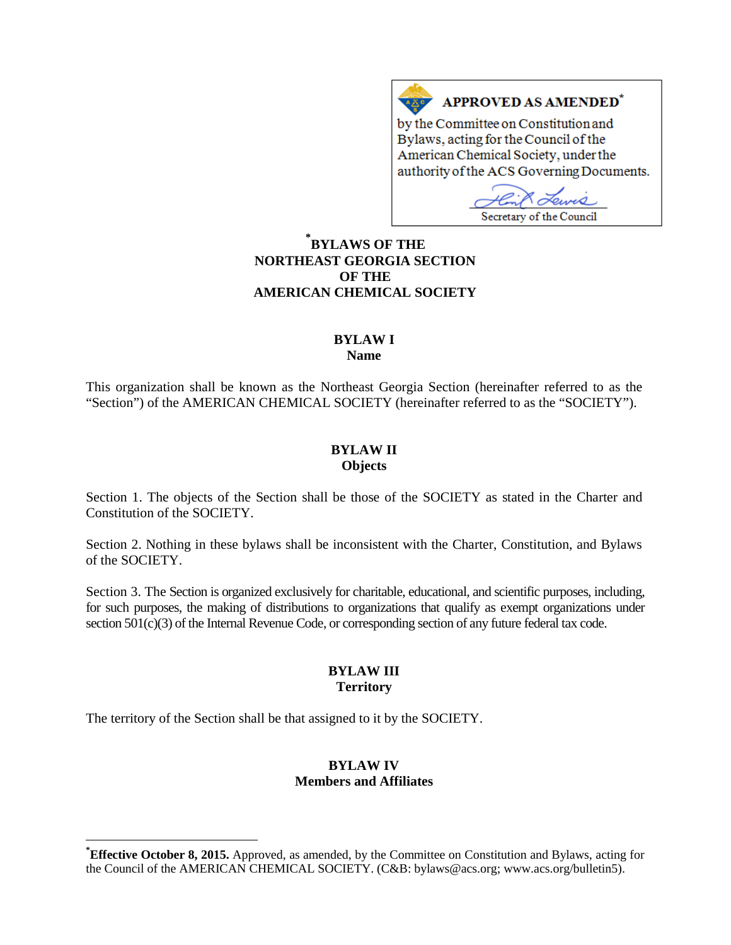#### APPROVED AS AMENDED\*  $A \underline{A}$

by the Committee on Constitution and Bylaws, acting for the Council of the American Chemical Society, under the authority of the ACS Governing Documents.

мÒ Secretary of the Council

# **[\\*](#page-0-0) BYLAWS OF THE NORTHEAST GEORGIA SECTION OF THE AMERICAN CHEMICAL SOCIETY**

#### **BYLAW I Name**

This organization shall be known as the Northeast Georgia Section (hereinafter referred to as the "Section") of the AMERICAN CHEMICAL SOCIETY (hereinafter referred to as the "SOCIETY").

#### **BYLAW II Objects**

Section 1. The objects of the Section shall be those of the SOCIETY as stated in the Charter and Constitution of the SOCIETY.

Section 2. Nothing in these bylaws shall be inconsistent with the Charter, Constitution, and Bylaws of the SOCIETY.

Section 3. The Section is organized exclusively for charitable, educational, and scientific purposes, including, for such purposes, the making of distributions to organizations that qualify as exempt organizations under section 501(c)(3) of the Internal Revenue Code, or corresponding section of any future federal tax code.

#### **BYLAW III Territory**

The territory of the Section shall be that assigned to it by the SOCIETY.

#### **BYLAW IV Members and Affiliates**

<span id="page-0-0"></span>**\* Effective October 8, 2015.** Approved, as amended, by the Committee on Constitution and Bylaws, acting for the Council of the AMERICAN CHEMICAL SOCIETY. (C&B: bylaws@acs.org; www.acs.org/bulletin5).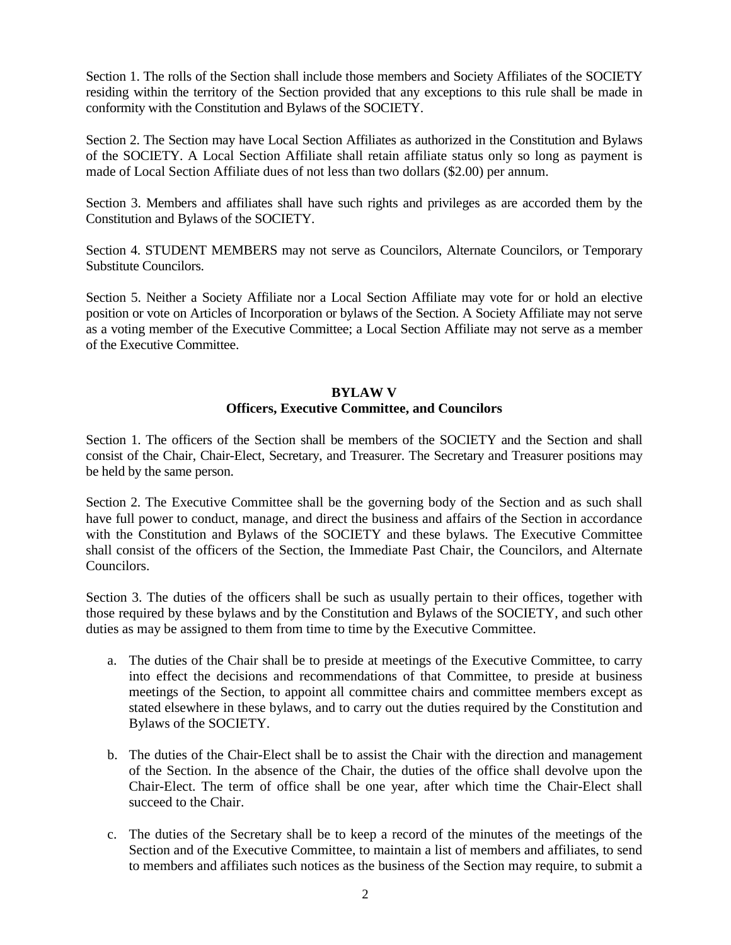Section 1. The rolls of the Section shall include those members and Society Affiliates of the SOCIETY residing within the territory of the Section provided that any exceptions to this rule shall be made in conformity with the Constitution and Bylaws of the SOCIETY.

Section 2. The Section may have Local Section Affiliates as authorized in the Constitution and Bylaws of the SOCIETY. A Local Section Affiliate shall retain affiliate status only so long as payment is made of Local Section Affiliate dues of not less than two dollars (\$2.00) per annum.

Section 3. Members and affiliates shall have such rights and privileges as are accorded them by the Constitution and Bylaws of the SOCIETY.

Section 4. STUDENT MEMBERS may not serve as Councilors, Alternate Councilors, or Temporary Substitute Councilors.

Section 5. Neither a Society Affiliate nor a Local Section Affiliate may vote for or hold an elective position or vote on Articles of Incorporation or bylaws of the Section. A Society Affiliate may not serve as a voting member of the Executive Committee; a Local Section Affiliate may not serve as a member of the Executive Committee.

#### **BYLAW V Officers, Executive Committee, and Councilors**

Section 1. The officers of the Section shall be members of the SOCIETY and the Section and shall consist of the Chair, Chair-Elect, Secretary, and Treasurer. The Secretary and Treasurer positions may be held by the same person.

Section 2. The Executive Committee shall be the governing body of the Section and as such shall have full power to conduct, manage, and direct the business and affairs of the Section in accordance with the Constitution and Bylaws of the SOCIETY and these bylaws. The Executive Committee shall consist of the officers of the Section, the Immediate Past Chair, the Councilors, and Alternate Councilors.

Section 3. The duties of the officers shall be such as usually pertain to their offices, together with those required by these bylaws and by the Constitution and Bylaws of the SOCIETY, and such other duties as may be assigned to them from time to time by the Executive Committee.

- a. The duties of the Chair shall be to preside at meetings of the Executive Committee, to carry into effect the decisions and recommendations of that Committee, to preside at business meetings of the Section, to appoint all committee chairs and committee members except as stated elsewhere in these bylaws, and to carry out the duties required by the Constitution and Bylaws of the SOCIETY.
- b. The duties of the Chair-Elect shall be to assist the Chair with the direction and management of the Section. In the absence of the Chair, the duties of the office shall devolve upon the Chair-Elect. The term of office shall be one year, after which time the Chair-Elect shall succeed to the Chair.
- c. The duties of the Secretary shall be to keep a record of the minutes of the meetings of the Section and of the Executive Committee, to maintain a list of members and affiliates, to send to members and affiliates such notices as the business of the Section may require, to submit a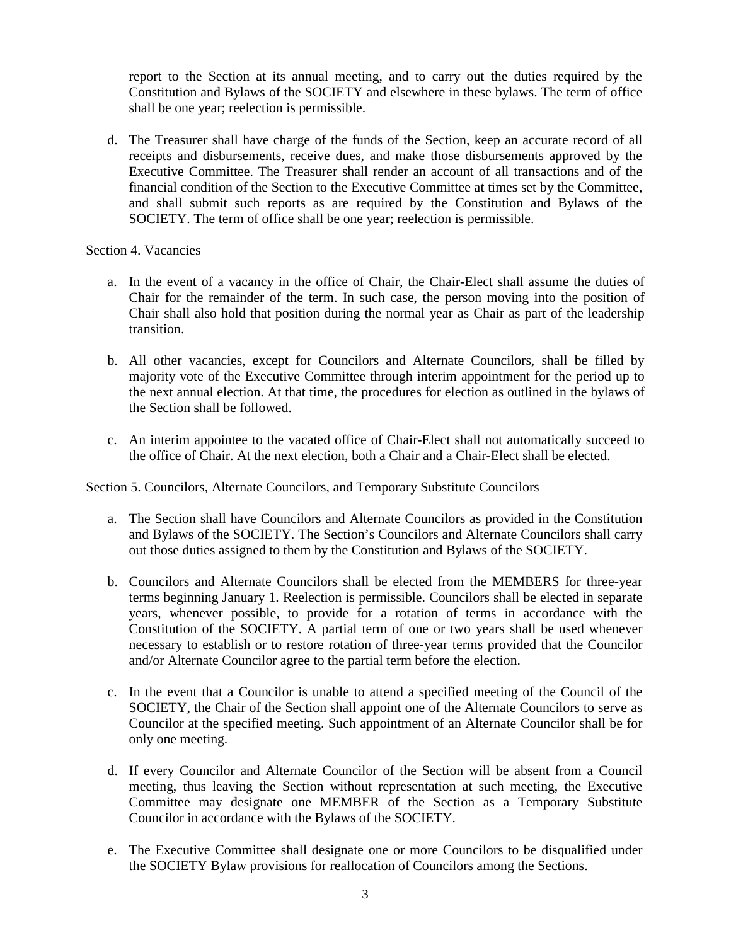report to the Section at its annual meeting, and to carry out the duties required by the Constitution and Bylaws of the SOCIETY and elsewhere in these bylaws. The term of office shall be one year; reelection is permissible.

d. The Treasurer shall have charge of the funds of the Section, keep an accurate record of all receipts and disbursements, receive dues, and make those disbursements approved by the Executive Committee. The Treasurer shall render an account of all transactions and of the financial condition of the Section to the Executive Committee at times set by the Committee, and shall submit such reports as are required by the Constitution and Bylaws of the SOCIETY. The term of office shall be one year; reelection is permissible.

Section 4. Vacancies

- a. In the event of a vacancy in the office of Chair, the Chair-Elect shall assume the duties of Chair for the remainder of the term. In such case, the person moving into the position of Chair shall also hold that position during the normal year as Chair as part of the leadership transition.
- b. All other vacancies, except for Councilors and Alternate Councilors, shall be filled by majority vote of the Executive Committee through interim appointment for the period up to the next annual election. At that time, the procedures for election as outlined in the bylaws of the Section shall be followed.
- c. An interim appointee to the vacated office of Chair-Elect shall not automatically succeed to the office of Chair. At the next election, both a Chair and a Chair-Elect shall be elected.

Section 5. Councilors, Alternate Councilors, and Temporary Substitute Councilors

- a. The Section shall have Councilors and Alternate Councilors as provided in the Constitution and Bylaws of the SOCIETY. The Section's Councilors and Alternate Councilors shall carry out those duties assigned to them by the Constitution and Bylaws of the SOCIETY.
- b. Councilors and Alternate Councilors shall be elected from the MEMBERS for three-year terms beginning January 1. Reelection is permissible. Councilors shall be elected in separate years, whenever possible, to provide for a rotation of terms in accordance with the Constitution of the SOCIETY. A partial term of one or two years shall be used whenever necessary to establish or to restore rotation of three-year terms provided that the Councilor and/or Alternate Councilor agree to the partial term before the election.
- c. In the event that a Councilor is unable to attend a specified meeting of the Council of the SOCIETY, the Chair of the Section shall appoint one of the Alternate Councilors to serve as Councilor at the specified meeting. Such appointment of an Alternate Councilor shall be for only one meeting.
- d. If every Councilor and Alternate Councilor of the Section will be absent from a Council meeting, thus leaving the Section without representation at such meeting, the Executive Committee may designate one MEMBER of the Section as a Temporary Substitute Councilor in accordance with the Bylaws of the SOCIETY.
- e. The Executive Committee shall designate one or more Councilors to be disqualified under the SOCIETY Bylaw provisions for reallocation of Councilors among the Sections.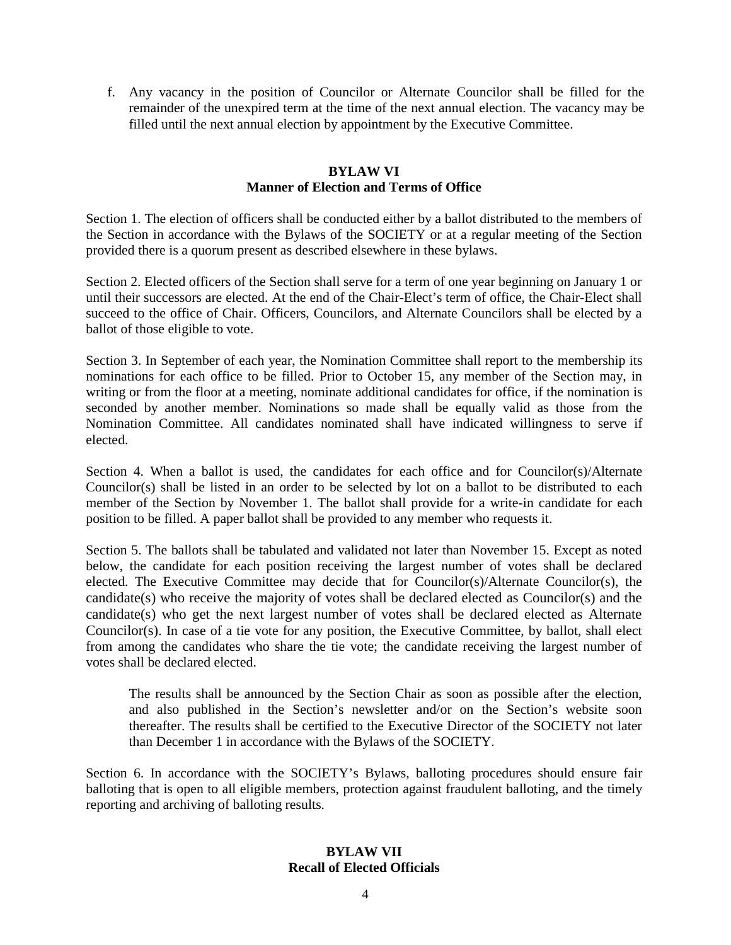f. Any vacancy in the position of Councilor or Alternate Councilor shall be filled for the remainder of the unexpired term at the time of the next annual election. The vacancy may be filled until the next annual election by appointment by the Executive Committee.

#### **BYLAW VI Manner of Election and Terms of Office**

Section 1. The election of officers shall be conducted either by a ballot distributed to the members of the Section in accordance with the Bylaws of the SOCIETY or at a regular meeting of the Section provided there is a quorum present as described elsewhere in these bylaws.

Section 2. Elected officers of the Section shall serve for a term of one year beginning on January 1 or until their successors are elected. At the end of the Chair-Elect's term of office, the Chair-Elect shall succeed to the office of Chair. Officers, Councilors, and Alternate Councilors shall be elected by a ballot of those eligible to vote.

Section 3. In September of each year, the Nomination Committee shall report to the membership its nominations for each office to be filled. Prior to October 15, any member of the Section may, in writing or from the floor at a meeting, nominate additional candidates for office, if the nomination is seconded by another member. Nominations so made shall be equally valid as those from the Nomination Committee. All candidates nominated shall have indicated willingness to serve if elected.

Section 4. When a ballot is used, the candidates for each office and for Councilor(s)/Alternate Councilor(s) shall be listed in an order to be selected by lot on a ballot to be distributed to each member of the Section by November 1. The ballot shall provide for a write-in candidate for each position to be filled. A paper ballot shall be provided to any member who requests it.

Section 5. The ballots shall be tabulated and validated not later than November 15. Except as noted below, the candidate for each position receiving the largest number of votes shall be declared elected. The Executive Committee may decide that for Councilor(s)/Alternate Councilor(s), the candidate(s) who receive the majority of votes shall be declared elected as Councilor(s) and the candidate(s) who get the next largest number of votes shall be declared elected as Alternate Councilor(s). In case of a tie vote for any position, the Executive Committee, by ballot, shall elect from among the candidates who share the tie vote; the candidate receiving the largest number of votes shall be declared elected.

The results shall be announced by the Section Chair as soon as possible after the election, and also published in the Section's newsletter and/or on the Section's website soon thereafter. The results shall be certified to the Executive Director of the SOCIETY not later than December 1 in accordance with the Bylaws of the SOCIETY.

Section 6. In accordance with the SOCIETY's Bylaws, balloting procedures should ensure fair balloting that is open to all eligible members, protection against fraudulent balloting, and the timely reporting and archiving of balloting results.

# **BYLAW VII Recall of Elected Officials**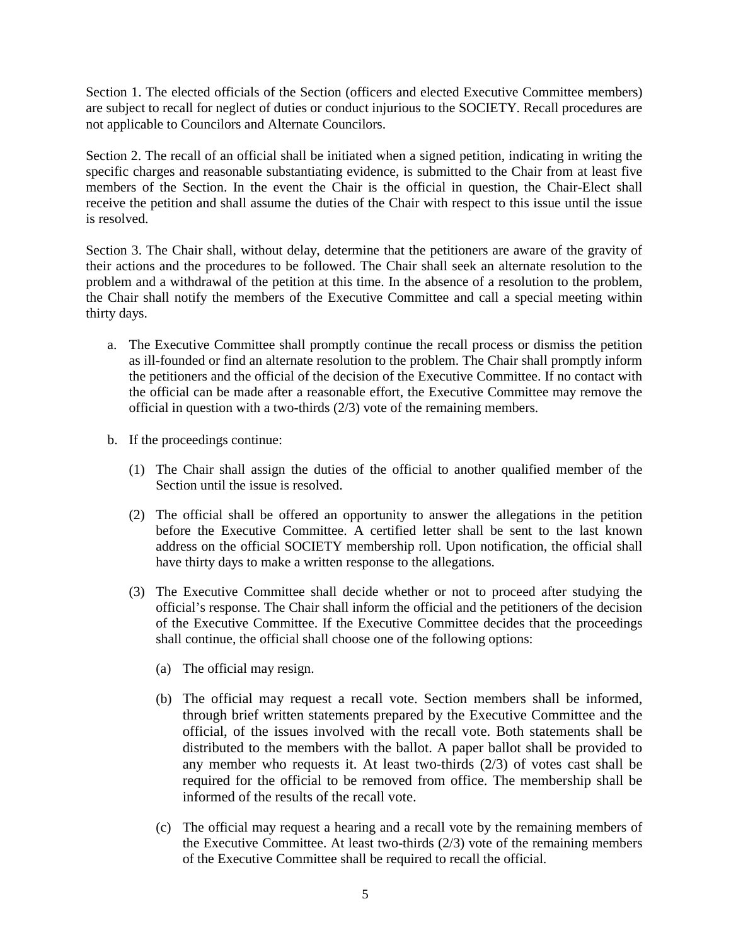Section 1. The elected officials of the Section (officers and elected Executive Committee members) are subject to recall for neglect of duties or conduct injurious to the SOCIETY. Recall procedures are not applicable to Councilors and Alternate Councilors.

Section 2. The recall of an official shall be initiated when a signed petition, indicating in writing the specific charges and reasonable substantiating evidence, is submitted to the Chair from at least five members of the Section. In the event the Chair is the official in question, the Chair-Elect shall receive the petition and shall assume the duties of the Chair with respect to this issue until the issue is resolved.

Section 3. The Chair shall, without delay, determine that the petitioners are aware of the gravity of their actions and the procedures to be followed. The Chair shall seek an alternate resolution to the problem and a withdrawal of the petition at this time. In the absence of a resolution to the problem, the Chair shall notify the members of the Executive Committee and call a special meeting within thirty days.

- a. The Executive Committee shall promptly continue the recall process or dismiss the petition as ill-founded or find an alternate resolution to the problem. The Chair shall promptly inform the petitioners and the official of the decision of the Executive Committee. If no contact with the official can be made after a reasonable effort, the Executive Committee may remove the official in question with a two-thirds (2/3) vote of the remaining members.
- b. If the proceedings continue:
	- (1) The Chair shall assign the duties of the official to another qualified member of the Section until the issue is resolved.
	- (2) The official shall be offered an opportunity to answer the allegations in the petition before the Executive Committee. A certified letter shall be sent to the last known address on the official SOCIETY membership roll. Upon notification, the official shall have thirty days to make a written response to the allegations.
	- (3) The Executive Committee shall decide whether or not to proceed after studying the official's response. The Chair shall inform the official and the petitioners of the decision of the Executive Committee. If the Executive Committee decides that the proceedings shall continue, the official shall choose one of the following options:
		- (a) The official may resign.
		- (b) The official may request a recall vote. Section members shall be informed, through brief written statements prepared by the Executive Committee and the official, of the issues involved with the recall vote. Both statements shall be distributed to the members with the ballot. A paper ballot shall be provided to any member who requests it. At least two-thirds (2/3) of votes cast shall be required for the official to be removed from office. The membership shall be informed of the results of the recall vote.
		- (c) The official may request a hearing and a recall vote by the remaining members of the Executive Committee. At least two-thirds  $(2/3)$  vote of the remaining members of the Executive Committee shall be required to recall the official.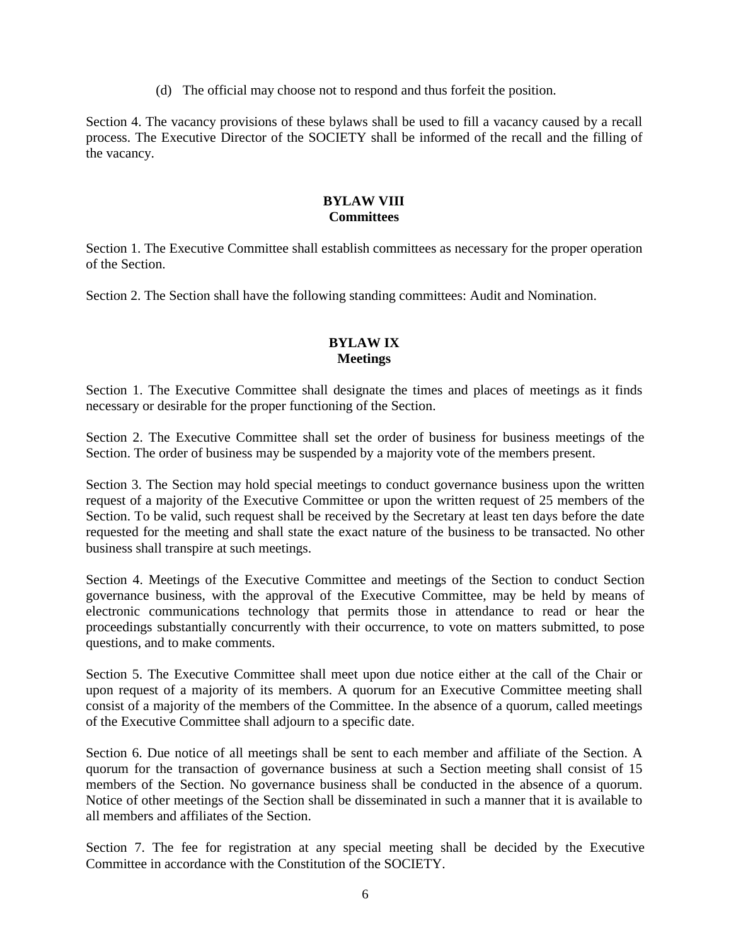(d) The official may choose not to respond and thus forfeit the position.

Section 4. The vacancy provisions of these bylaws shall be used to fill a vacancy caused by a recall process. The Executive Director of the SOCIETY shall be informed of the recall and the filling of the vacancy.

## **BYLAW VIII Committees**

Section 1. The Executive Committee shall establish committees as necessary for the proper operation of the Section.

Section 2. The Section shall have the following standing committees: Audit and Nomination.

### **BYLAW IX Meetings**

Section 1. The Executive Committee shall designate the times and places of meetings as it finds necessary or desirable for the proper functioning of the Section.

Section 2. The Executive Committee shall set the order of business for business meetings of the Section. The order of business may be suspended by a majority vote of the members present.

Section 3. The Section may hold special meetings to conduct governance business upon the written request of a majority of the Executive Committee or upon the written request of 25 members of the Section. To be valid, such request shall be received by the Secretary at least ten days before the date requested for the meeting and shall state the exact nature of the business to be transacted. No other business shall transpire at such meetings.

Section 4. Meetings of the Executive Committee and meetings of the Section to conduct Section governance business, with the approval of the Executive Committee, may be held by means of electronic communications technology that permits those in attendance to read or hear the proceedings substantially concurrently with their occurrence, to vote on matters submitted, to pose questions, and to make comments.

Section 5. The Executive Committee shall meet upon due notice either at the call of the Chair or upon request of a majority of its members. A quorum for an Executive Committee meeting shall consist of a majority of the members of the Committee. In the absence of a quorum, called meetings of the Executive Committee shall adjourn to a specific date.

Section 6. Due notice of all meetings shall be sent to each member and affiliate of the Section. A quorum for the transaction of governance business at such a Section meeting shall consist of 15 members of the Section. No governance business shall be conducted in the absence of a quorum. Notice of other meetings of the Section shall be disseminated in such a manner that it is available to all members and affiliates of the Section.

Section 7. The fee for registration at any special meeting shall be decided by the Executive Committee in accordance with the Constitution of the SOCIETY.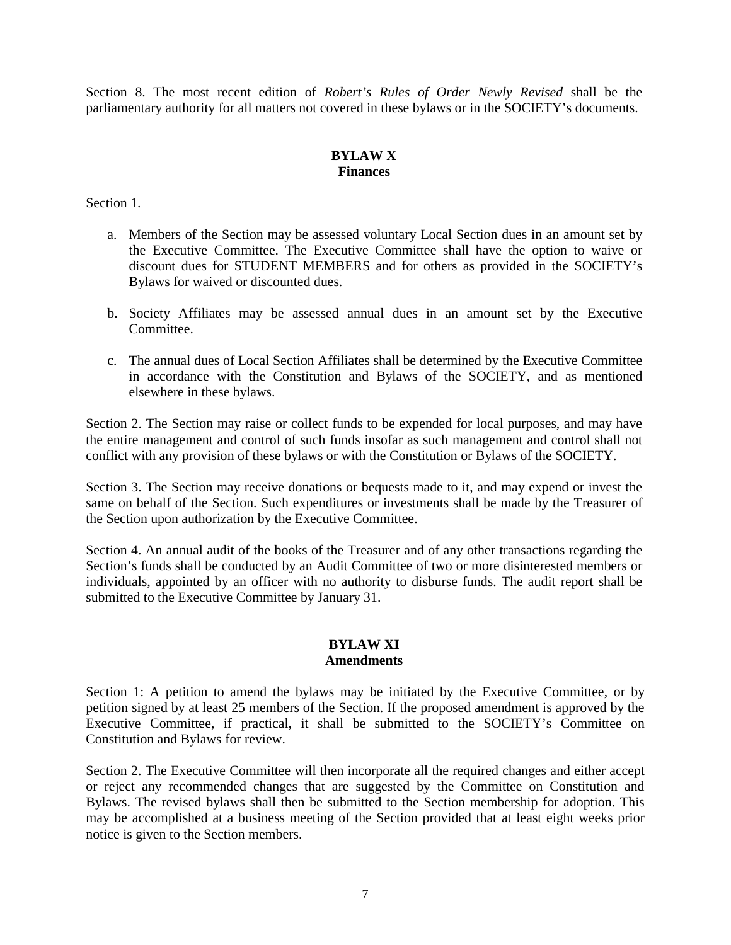Section 8. The most recent edition of *Robert's Rules of Order Newly Revised* shall be the parliamentary authority for all matters not covered in these bylaws or in the SOCIETY's documents.

# **BYLAW X Finances**

Section 1.

- a. Members of the Section may be assessed voluntary Local Section dues in an amount set by the Executive Committee. The Executive Committee shall have the option to waive or discount dues for STUDENT MEMBERS and for others as provided in the SOCIETY's Bylaws for waived or discounted dues.
- b. Society Affiliates may be assessed annual dues in an amount set by the Executive Committee.
- c. The annual dues of Local Section Affiliates shall be determined by the Executive Committee in accordance with the Constitution and Bylaws of the SOCIETY, and as mentioned elsewhere in these bylaws.

Section 2. The Section may raise or collect funds to be expended for local purposes, and may have the entire management and control of such funds insofar as such management and control shall not conflict with any provision of these bylaws or with the Constitution or Bylaws of the SOCIETY.

Section 3. The Section may receive donations or bequests made to it, and may expend or invest the same on behalf of the Section. Such expenditures or investments shall be made by the Treasurer of the Section upon authorization by the Executive Committee.

Section 4. An annual audit of the books of the Treasurer and of any other transactions regarding the Section's funds shall be conducted by an Audit Committee of two or more disinterested members or individuals, appointed by an officer with no authority to disburse funds. The audit report shall be submitted to the Executive Committee by January 31.

#### **BYLAW XI Amendments**

Section 1: A petition to amend the bylaws may be initiated by the Executive Committee, or by petition signed by at least 25 members of the Section. If the proposed amendment is approved by the Executive Committee, if practical, it shall be submitted to the SOCIETY's Committee on Constitution and Bylaws for review.

Section 2. The Executive Committee will then incorporate all the required changes and either accept or reject any recommended changes that are suggested by the Committee on Constitution and Bylaws. The revised bylaws shall then be submitted to the Section membership for adoption. This may be accomplished at a business meeting of the Section provided that at least eight weeks prior notice is given to the Section members.